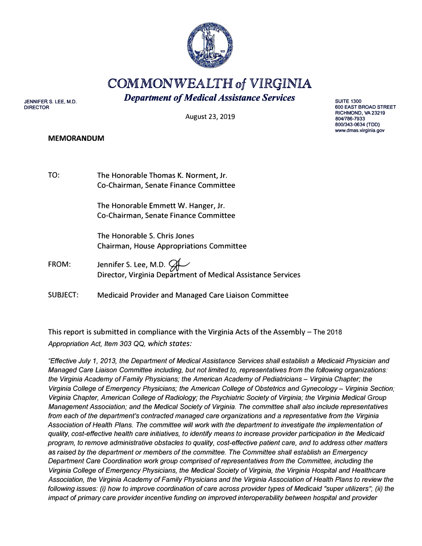

# **COMMONWEALTH of VIRGINIA**  *Department of Medical Assistance Services*

**JENNIFER S. LEE, M.D. DIRECTOR** 

August 23, 2019

#### **MEMORANDUM**

**SUITE 1300 600 EAST BROAD STREET RICHMOND, VA23219 804/786-7933 800/343-0634 (TDD) www.dmas.virginia.gov** 

TO: The Honorable Thomas K. Norment, Jr. Co-Chairman, Senate Finance Committee

> The Honorable Emmett W. Hanger, Jr. Co-Chairman, Senate Finance Committee

The Honorable S. Chris Jones Chairman, House Appropriations Committee

FROM: Jennifer S. Lee, M.D.  $\mathcal{G}$ Director, Virginia Department of Medical Assistance Services

SUBJECT: Medicaid Provider and Managed Care Liaison Committee

This report is submitted in compliance with the Virginia Acts of the Assembly  $-$  The 2018 *Appropriation Act, Item 303* QQ, *which states:* 

*"Effective July 1, 2013, the Department of Medical Assistance Services shall establish* a *Medicaid Physician and Managed Care Liaison Committee including, but not limited to, representatives from the following organizations: the Virginia Academy of Family Physicians; the American Academy of Pediatricians - Virginia Chapter; the Virginia College of Emergency Physicians; the American College of Obstetrics and Gynecology- Virginia Section; Virginia Chapter, American College of Radiology; the Psychiatric Society of Virginia; the Virginia Medical Group Management Association; and the Medical Society of Virginia. The committee shall also include representatives from each of the department's contracted managed care organizations and* a *representative from the Virginia*  Association of Health Plans. The committee will work with the department to investigate the implementation of *quality, cost-effective health care initiatives, to identify means to increase provider participation in the Medicaid program, to remove administrative obstacles to quality, cost-effective patient care, and to address other matters*  as *raised by the department or members of the committee. The Committee shall establish an Emergency Department Care Coordination work group comprised of representatives from the Committee, including the Virginia College of Emergency Physicians, the Medical Society of Virginia, the Virginia Hospital and Healthcare Association, the Virginia Academy of Family Physicians and the Virginia Association of Health Plans to review the following issues: (i) how to improve coordination of care across provider types of Medicaid "super utilizers"; (ii) the impact of primary care provider incentive funding on improved interoperability between hospital and provider*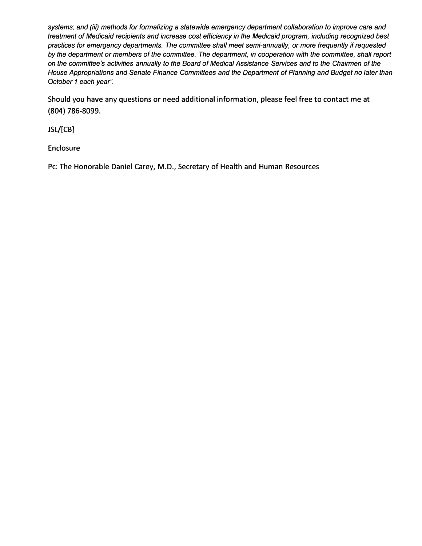*systems; and (iii) methods for formalizing* **a** *statewide emergency department collaboration to improve care and treatment of Medicaid recipients and increase cost efficiency in the Medicaid program, including recognized best practices for emergency departments. The committee shall meet semi-annually, or more frequently if requested*  by the department or members of the committee. The department, in cooperation with the committee, shall report *on the committee's activities annually to the Board of Medical Assistance Services and to the Chairmen of the House Appropriations and Senate Finance Committees and the Department of Planning and Budget no later than October 1 each year".* 

**Should you have any questions or need additional information, please feel free to contact me at (804) 786-8099.**

**JSL/[CB]** 

**Enclosure** 

**Pc: The Honorable Daniel Carey, M.D., Secretary of Health and Human Resources**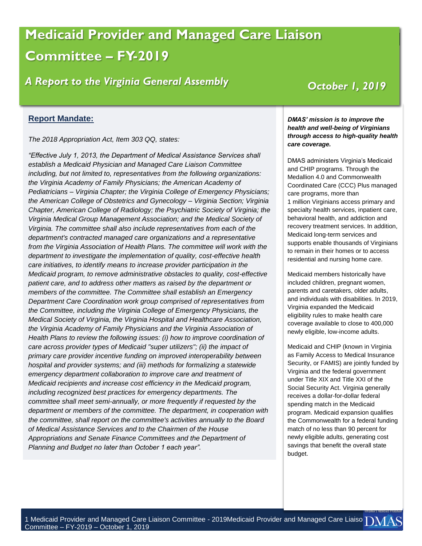# **Medicaid Provider and Managed Care Liaison Theory Constructs Committee – FY-2019**

# *A Report to the Virginia General Assembly*

## *October 1, 2019*

#### **Report Mandate:**

*The 2018 Appropriation Act, Item 303 QQ, states:*

*"Effective July 1, 2013, the Department of Medical Assistance Services shall establish a Medicaid Physician and Managed Care Liaison Committee including, but not limited to, representatives from the following organizations: the Virginia Academy of Family Physicians; the American Academy of Pediatricians – Virginia Chapter; the Virginia College of Emergency Physicians; the American College of Obstetrics and Gynecology – Virginia Section; Virginia Chapter, American College of Radiology; the Psychiatric Society of Virginia; the Virginia Medical Group Management Association; and the Medical Society of Virginia. The committee shall also include representatives from each of the department's contracted managed care organizations and a representative from the Virginia Association of Health Plans. The committee will work with the department to investigate the implementation of quality, cost-effective health care initiatives, to identify means to increase provider participation in the Medicaid program, to remove administrative obstacles to quality, cost-effective patient care, and to address other matters as raised by the department or members of the committee. The Committee shall establish an Emergency Department Care Coordination work group comprised of representatives from the Committee, including the Virginia College of Emergency Physicians, the Medical Society of Virginia, the Virginia Hospital and Healthcare Association, the Virginia Academy of Family Physicians and the Virginia Association of Health Plans to review the following issues: (i) how to improve coordination of care across provider types of Medicaid "super utilizers"; (ii) the impact of primary care provider incentive funding on improved interoperability between hospital and provider systems; and (iii) methods for formalizing a statewide emergency department collaboration to improve care and treatment of Medicaid recipients and increase cost efficiency in the Medicaid program, including recognized best practices for emergency departments. The committee shall meet semi-annually, or more frequently if requested by the department or members of the committee. The department, in cooperation with the committee, shall report on the committee's activities annually to the Board of Medical Assistance Services and to the Chairmen of the House Appropriations and Senate Finance Committees and the Department of Planning and Budget no later than October 1 each year".*

*DMAS' mission is to improve the health and well-being of Virginians through access to high-quality health care coverage.*

DMAS administers Virginia's Medicaid and CHIP programs. Through the Medallion 4.0 and Commonwealth Coordinated Care (CCC) Plus managed care programs, more than 1 million Virginians access primary and specialty health services, inpatient care, behavioral health, and addiction and recovery treatment services. In addition, Medicaid long-term services and supports enable thousands of Virginians to remain in their homes or to access residential and nursing home care.

Medicaid members historically have included children, pregnant women, parents and caretakers, older adults, and individuals with disabilities. In 2019, Virginia expanded the Medicaid eligibility rules to make health care coverage available to close to 400,000 newly eligible, low-income adults.

Medicaid and CHIP (known in Virginia as Family Access to Medical Insurance Security, or FAMIS) are jointly funded by Virginia and the federal government under Title XIX and Title XXI of the Social Security Act. Virginia generally receives a dollar-for-dollar federal spending match in the Medicaid program. Medicaid expansion qualifies the Commonwealth for a federal funding match of no less than 90 percent for newly eligible adults, generating cost savings that benefit the overall state budget.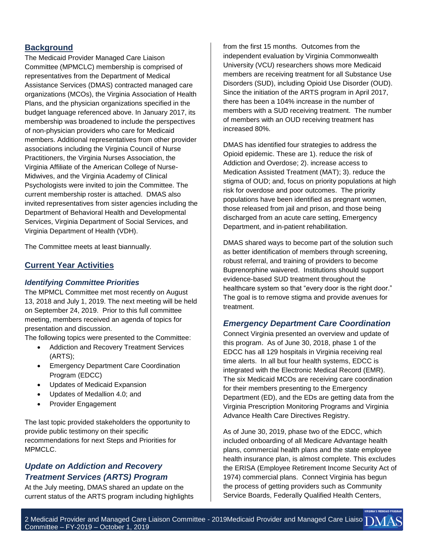### **Background**

The Medicaid Provider Managed Care Liaison Committee (MPMCLC) membership is comprised of representatives from the Department of Medical Assistance Services (DMAS) contracted managed care organizations (MCOs), the Virginia Association of Health Plans, and the physician organizations specified in the budget language referenced above. In January 2017, its membership was broadened to include the perspectives of non-physician providers who care for Medicaid members. Additional representatives from other provider associations including the Virginia Council of Nurse Practitioners, the Virginia Nurses Association, the Virginia Affiliate of the American College of Nurse-Midwives, and the Virginia Academy of Clinical Psychologists were invited to join the Committee. The current membership roster is attached. DMAS also invited representatives from sister agencies including the Department of Behavioral Health and Developmental Services, Virginia Department of Social Services, and Virginia Department of Health (VDH).

The Committee meets at least biannually.

#### **Current Year Activities**

#### *Identifying Committee Priorities*

The MPMCL Committee met most recently on August 13, 2018 and July 1, 2019. The next meeting will be held on September 24, 2019. Prior to this full committee meeting, members received an agenda of topics for presentation and discussion.

The following topics were presented to the Committee:

- Addiction and Recovery Treatment Services (ARTS);
- Emergency Department Care Coordination Program (EDCC)
- Updates of Medicaid Expansion
- Updates of Medallion 4.0; and
- Provider Engagement

The last topic provided stakeholders the opportunity to provide public testimony on their specific recommendations for next Steps and Priorities for MPMCLC.

### *Update on Addiction and Recovery Treatment Services (ARTS) Program*

At the July meeting, DMAS shared an update on the current status of the ARTS program including highlights from the first 15 months. Outcomes from the independent evaluation by Virginia Commonwealth University (VCU) researchers shows more Medicaid members are receiving treatment for all Substance Use Disorders (SUD), including Opioid Use Disorder (OUD). Since the initiation of the ARTS program in April 2017, there has been a 104% increase in the number of members with a SUD receiving treatment. The number of members with an OUD receiving treatment has increased 80%.

DMAS has identified four strategies to address the Opioid epidemic. These are 1). reduce the risk of Addiction and Overdose; 2). increase access to Medication Assisted Treatment (MAT); 3). reduce the stigma of OUD; and, focus on priority populations at high risk for overdose and poor outcomes. The priority populations have been identified as pregnant women, those released from jail and prison, and those being discharged from an acute care setting, Emergency Department, and in-patient rehabilitation.

DMAS shared ways to become part of the solution such as better identification of members through screening, robust referral, and training of providers to become Buprenorphine waivered. Institutions should support evidence-based SUD treatment throughout the healthcare system so that "every door is the right door." The goal is to remove stigma and provide avenues for treatment.

#### *Emergency Department Care Coordination*

Connect Virginia presented an overview and update of this program. As of June 30, 2018, phase 1 of the EDCC has all 129 hospitals in Virginia receiving real time alerts. In all but four health systems, EDCC is integrated with the Electronic Medical Record (EMR). The six Medicaid MCOs are receiving care coordination for their members presenting to the Emergency Department (ED), and the EDs are getting data from the Virginia Prescription Monitoring Programs and Virginia Advance Health Care Directives Registry.

As of June 30, 2019, phase two of the EDCC, which included onboarding of all Medicare Advantage health plans, commercial health plans and the state employee health insurance plan, is almost complete. This excludes the ERISA (Employee Retirement Income Security Act of 1974) commercial plans. Connect Virginia has begun the process of getting providers such as Community Service Boards, Federally Qualified Health Centers,

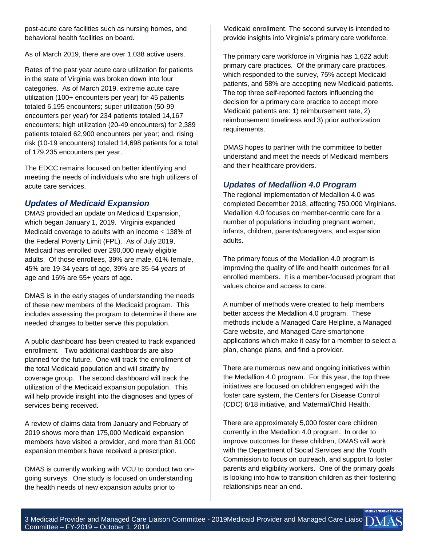post-acute care facilities such as nursing homes, and behavioral health facilities on board.

As of March 2019, there are over 1,038 active users.

Rates of the past year acute care utilization for patients in the state of Virginia was broken down into four categories. As of March 2019, extreme acute care utilization (100+ encounters per year) for 45 patients totaled 6,195 encounters; super utilization (50-99 encounters per year) for 234 patients totaled 14,167 encounters; high utilization (20-49 encounters) for 2,389 patients totaled 62,900 encounters per year; and, rising risk (10-19 encounters) totaled 14,698 patients for a total of 179,235 encounters per year.

The EDCC remains focused on better identifying and meeting the needs of individuals who are high utilizers of acute care services.

### *Updates of Medicaid Expansion*

DMAS provided an update on Medicaid Expansion, which began January 1, 2019. Virginia expanded Medicaid coverage to adults with an income  $\leq 138\%$  of the Federal Poverty Limit (FPL). As of July 2019, Medicaid has enrolled over 290,000 newly eligible adults. Of those enrollees, 39% are male, 61% female, 45% are 19-34 years of age, 39% are 35-54 years of age and 16% are 55+ years of age.

DMAS is in the early stages of understanding the needs of these new members of the Medicaid program. This includes assessing the program to determine if there are needed changes to better serve this population.

A public dashboard has been created to track expanded enrollment. Two additional dashboards are also planned for the future. One will track the enrollment of the total Medicaid population and will stratify by coverage group. The second dashboard will track the utilization of the Medicaid expansion population. This will help provide insight into the diagnoses and types of services being received.

A review of claims data from January and February of 2019 shows more than 175,000 Medicaid expansion members have visited a provider, and more than 81,000 expansion members have received a prescription.

DMAS is currently working with VCU to conduct two ongoing surveys. One study is focused on understanding the health needs of new expansion adults prior to

Medicaid enrollment. The second survey is intended to provide insights into Virginia's primary care workforce.

The primary care workforce in Virginia has 1,622 adult primary care practices. Of the primary care practices, which responded to the survey, 75% accept Medicaid patients, and 58% are accepting new Medicaid patients. The top three self-reported factors influencing the decision for a primary care practice to accept more Medicaid patients are: 1) reimbursement rate, 2) reimbursement timeliness and 3) prior authorization requirements.

DMAS hopes to partner with the committee to better understand and meet the needs of Medicaid members and their healthcare providers.

### *Updates of Medallion 4.0 Program*

The regional implementation of Medallion 4.0 was completed December 2018, affecting 750,000 Virginians. Medallion 4.0 focuses on member-centric care for a number of populations including pregnant women, infants, children, parents/caregivers, and expansion adults.

The primary focus of the Medallion 4.0 program is improving the quality of life and health outcomes for all enrolled members. It is a member-focused program that values choice and access to care.

A number of methods were created to help members better access the Medallion 4.0 program. These methods include a Managed Care Helpline, a Managed Care website, and Managed Care smartphone applications which make it easy for a member to select a plan, change plans, and find a provider.

There are numerous new and ongoing initiatives within the Medallion 4.0 program. For this year, the top three initiatives are focused on children engaged with the foster care system, the Centers for Disease Control (CDC) 6/18 initiative, and Maternal/Child Health.

There are approximately 5,000 foster care children currently in the Medallion 4.0 program. In order to improve outcomes for these children, DMAS will work with the Department of Social Services and the Youth Commission to focus on outreach, and support to foster parents and eligibility workers. One of the primary goals is looking into how to transition children as their fostering relationships near an end.